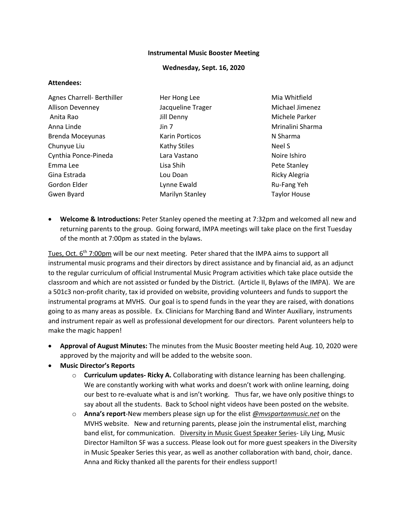### **Instrumental Music Booster Meeting**

#### **Wednesday, Sept. 16, 2020**

#### **Attendees:**

| Agnes Charrell- Berthiller | Her Hong Lee      | Mia Whitfield       |
|----------------------------|-------------------|---------------------|
| <b>Allison Devenney</b>    | Jacqueline Trager | Michael Jimenez     |
| Anita Rao                  | Jill Denny        | Michele Parker      |
| Anna Linde                 | Jin 7             | Mrinalini Sharma    |
| Brenda Moceyunas           | Karin Porticos    | N Sharma            |
| Chunyue Liu                | Kathy Stiles      | Neel S              |
| Cynthia Ponce-Pineda       | Lara Vastano      | Noire Ishiro        |
| Emma Lee                   | Lisa Shih         | Pete Stanley        |
| Gina Estrada               | Lou Doan          | Ricky Alegria       |
| Gordon Elder               | Lynne Ewald       | Ru-Fang Yeh         |
| Gwen Byard                 | Marilyn Stanley   | <b>Taylor House</b> |

• **Welcome & Introductions:** Peter Stanley opened the meeting at 7:32pm and welcomed all new and returning parents to the group. Going forward, IMPA meetings will take place on the first Tuesday of the month at 7:00pm as stated in the bylaws.

Tues, Oct. 6<sup>th</sup> 7:00pm will be our next meeting. Peter shared that the IMPA aims to support all instrumental music programs and their directors by direct assistance and by financial aid, as an adjunct to the regular curriculum of official Instrumental Music Program activities which take place outside the classroom and which are not assisted or funded by the District. (Article II, Bylaws of the IMPA). We are a 501c3 non-profit charity, tax id provided on website, providing volunteers and funds to support the instrumental programs at MVHS. Our goal is to spend funds in the year they are raised, with donations going to as many areas as possible. Ex. Clinicians for Marching Band and Winter Auxiliary, instruments and instrument repair as well as professional development for our directors. Parent volunteers help to make the magic happen!

- **Approval of August Minutes:** The minutes from the Music Booster meeting held Aug. 10, 2020 were approved by the majority and will be added to the website soon.
- **Music Director's Reports**
	- o **Curriculum updates- Ricky A.** Collaborating with distance learning has been challenging. We are constantly working with what works and doesn't work with online learning, doing our best to re-evaluate what is and isn't working. Thus far, we have only positive things to say about all the students. Back to School night videos have been posted on the website.
	- o **Anna's report**-New members please sign up for the elist *@mvspartanmusic.net* on the MVHS website. New and returning parents, please join the instrumental elist, marching band elist, for communication. Diversity in Music Guest Speaker Series- Lily Ling, Music Director Hamilton SF was a success. Please look out for more guest speakers in the Diversity in Music Speaker Series this year, as well as another collaboration with band, choir, dance. Anna and Ricky thanked all the parents for their endless support!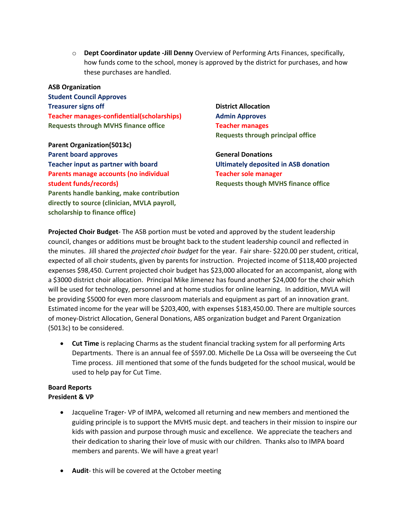o **Dept Coordinator update -Jill Denny** Overview of Performing Arts Finances, specifically, how funds come to the school, money is approved by the district for purchases, and how these purchases are handled.

**ASB Organization Student Council Approves Treasurer signs off Teacher manages-confidential(scholarships) Requests through MVHS finance office**

**Parent Organization(5013c) Parent board approves Teacher input as partner with board Parents manage accounts (no individual student funds/records) Parents handle banking, make contribution directly to source (clinician, MVLA payroll, scholarship to finance office)**

**District Allocation Admin Approves Teacher manages Requests through principal office**

**General Donations Ultimately deposited in ASB donation Teacher sole manager Requests though MVHS finance office**

**Projected Choir Budget**- The ASB portion must be voted and approved by the student leadership council, changes or additions must be brought back to the student leadership council and reflected in the minutes. Jill shared the *projected choir budget* for the year. Fair share- \$220.00 per student, critical, expected of all choir students, given by parents for instruction. Projected income of \$118,400 projected expenses \$98,450. Current projected choir budget has \$23,000 allocated for an accompanist, along with a \$3000 district choir allocation. Principal Mike Jimenez has found another \$24,000 for the choir which will be used for technology, personnel and at home studios for online learning. In addition, MVLA will be providing \$5000 for even more classroom materials and equipment as part of an innovation grant. Estimated income for the year will be \$203,400, with expenses \$183,450.00. There are multiple sources of money-District Allocation, General Donations, ABS organization budget and Parent Organization (5013c) to be considered.

• **Cut Time** is replacing Charms as the student financial tracking system for all performing Arts Departments. There is an annual fee of \$597.00. Michelle De La Ossa will be overseeing the Cut Time process. Jill mentioned that some of the funds budgeted for the school musical, would be used to help pay for Cut Time.

## **Board Reports President & VP**

- Jacqueline Trager- VP of IMPA, welcomed all returning and new members and mentioned the guiding principle is to support the MVHS music dept. and teachers in their mission to inspire our kids with passion and purpose through music and excellence. We appreciate the teachers and their dedication to sharing their love of music with our children. Thanks also to IMPA board members and parents. We will have a great year!
- **Audit** this will be covered at the October meeting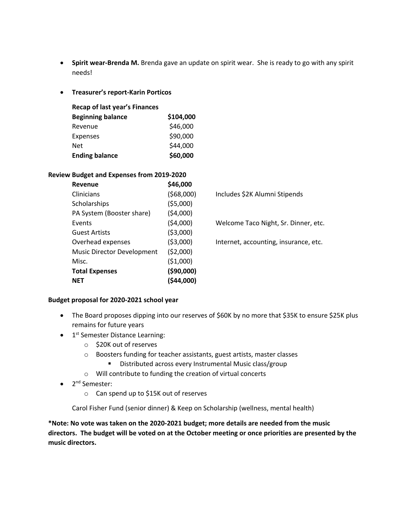- **Spirit wear-Brenda M.** Brenda gave an update on spirit wear. She is ready to go with any spirit needs!
- **Treasurer's report-Karin Porticos**

| <b>Recap of last year's Finances</b> |           |
|--------------------------------------|-----------|
| <b>Beginning balance</b>             | \$104,000 |
| Revenue                              | \$46,000  |
| Expenses                             | \$90,000  |
| Net                                  | \$44,000  |
| <b>Ending balance</b>                | \$60,000  |

# **Review Budget and Expenses from 2019-2020**

| Revenue                           | \$46,000    |
|-----------------------------------|-------------|
| Clinicians                        | (568,000)   |
| Scholarships                      | (55,000)    |
| PA System (Booster share)         | (54,000)    |
| Events                            | (54,000)    |
| <b>Guest Artists</b>              | ( \$3,000)  |
| Overhead expenses                 | ( \$3,000)  |
| <b>Music Director Development</b> | (52,000)    |
| Misc.                             | (51,000)    |
| <b>Total Expenses</b>             | ( \$90,000] |
| NET                               | (544,000)   |

) Includes \$2K Alumni Stipends

Welcome Taco Night, Sr. Dinner, etc.

Internet, accounting, insurance, etc.

## **Budget proposal for 2020-2021 school year**

- The Board proposes dipping into our reserves of \$60K by no more that \$35K to ensure \$25K plus remains for future years
- $\bullet$  1<sup>st</sup> Semester Distance Learning:
	- o \$20K out of reserves
	- o Boosters funding for teacher assistants, guest artists, master classes
		- Distributed across every Instrumental Music class/group
	- o Will contribute to funding the creation of virtual concerts
- 2<sup>nd</sup> Semester:
	- o Can spend up to \$15K out of reserves

Carol Fisher Fund (senior dinner) & Keep on Scholarship (wellness, mental health)

**\*Note: No vote was taken on the 2020-2021 budget; more details are needed from the music directors. The budget will be voted on at the October meeting or once priorities are presented by the music directors.**